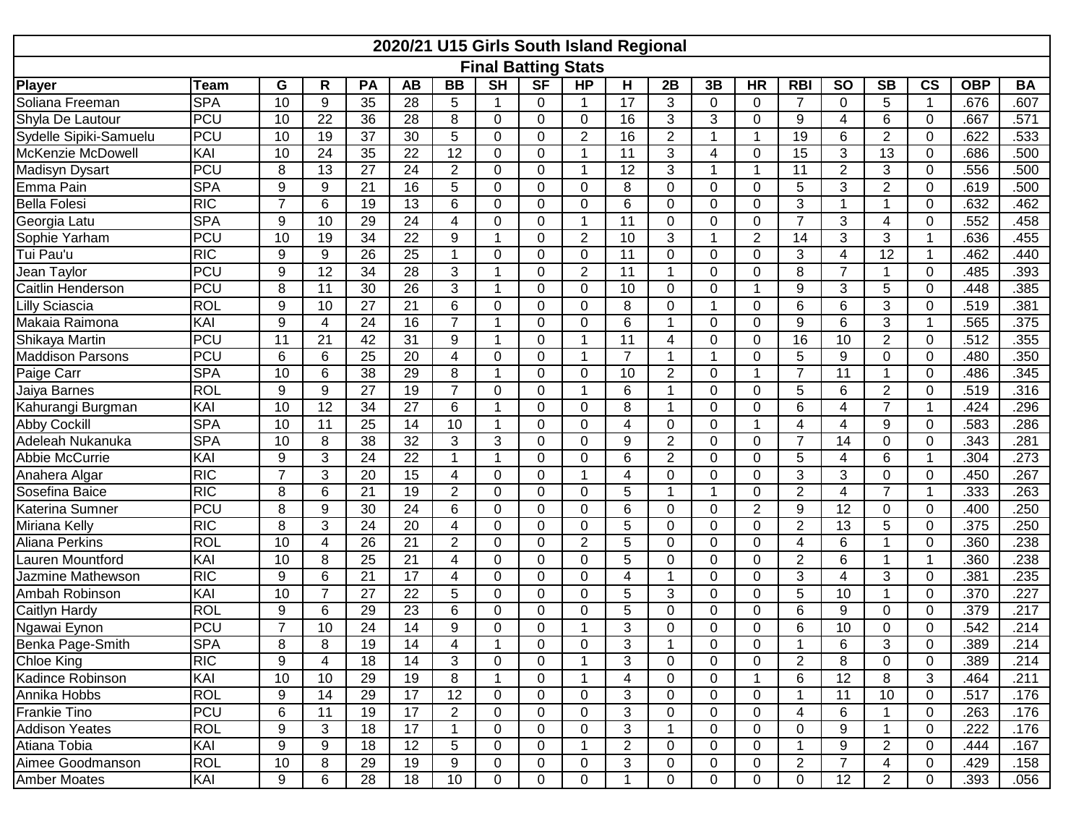| 2020/21 U15 Girls South Island Regional |                            |                 |                 |                              |                 |                 |                |             |                |                |                |             |                |                |                 |                 |                          |             |           |
|-----------------------------------------|----------------------------|-----------------|-----------------|------------------------------|-----------------|-----------------|----------------|-------------|----------------|----------------|----------------|-------------|----------------|----------------|-----------------|-----------------|--------------------------|-------------|-----------|
|                                         | <b>Final Batting Stats</b> |                 |                 |                              |                 |                 |                |             |                |                |                |             |                |                |                 |                 |                          |             |           |
| <b>Player</b>                           | <b>Team</b>                | G               | R               | PA                           | <b>AB</b>       | <b>BB</b>       | <b>SH</b>      | <b>SF</b>   | <b>HP</b>      | Н              | 2B             | 3B          | <b>HR</b>      | <b>RBI</b>     | <b>SO</b>       | <b>SB</b>       | $\mathsf{CS}\phantom{0}$ | <b>OBP</b>  | <b>BA</b> |
| Soliana Freeman                         | <b>SPA</b>                 | 10              | 9               | 35                           | 28              | 5               | 1              | 0           | $\mathbf 1$    | 17             | 3              | 0           | 0              | $\overline{7}$ | $\Omega$        | 5               | $\mathbf{1}$             | .676        | .607      |
| Shyla De Lautour                        | <b>PCU</b>                 | 10              | 22              | 36                           | 28              | 8               | $\Omega$       | 0           | 0              | 16             | 3              | 3           | $\Omega$       | 9              | 4               | 6               | $\mathbf 0$              | .667        | .571      |
| Sydelle Sipiki-Samuelu                  | <b>PCU</b>                 | 10              | 19              | 37                           | 30              | 5               | $\Omega$       | 0           | $\overline{2}$ | 16             | $\overline{2}$ | 1           | -1             | 19             | 6               | $\overline{2}$  | 0                        | .622        | .533      |
| McKenzie McDowell                       | KAI                        | 10              | $\overline{24}$ | $\overline{35}$              | $\overline{22}$ | $\overline{12}$ | $\Omega$       | 0           | $\mathbf 1$    | 11             | 3              | 4           | $\Omega$       | 15             | 3               | 13              | $\mathbf 0$              | .686        | .500      |
| Madisyn Dysart                          | PCU                        | 8               | 13              | 27                           | 24              | $\overline{2}$  | $\mathbf 0$    | 0           | $\mathbf{1}$   | 12             | 3              | $\mathbf 1$ | 1              | 11             | $\overline{2}$  | 3               | $\mathbf 0$              | .556        | .500      |
| Emma Pain                               | <b>SPA</b>                 | 9               | 9               | $\overline{21}$              | $\overline{16}$ | 5               | $\Omega$       | 0           | 0              | 8              | $\Omega$       | $\mathbf 0$ | $\mathbf 0$    | 5              | 3               | $\overline{2}$  | $\mathbf 0$              | .619        | .500      |
| <b>Bella Folesi</b>                     | RIC                        | $\overline{7}$  | 6               | 19                           | $\overline{13}$ | 6               | $\Omega$       | 0           | $\Omega$       | 6              | $\Omega$       | 0           | $\Omega$       | 3              | 1               | 1               | 0                        | .632        | .462      |
| Georgia Latu                            | <b>SPA</b>                 | 9               | 10              | 29                           | 24              | 4               | $\mathbf 0$    | 0           | $\mathbf 1$    | 11             | $\Omega$       | 0           | $\Omega$       | $\overline{7}$ | 3               | 4               | $\mathbf 0$              | .552        | .458      |
| Sophie Yarham                           | PCU                        | 10              | 19              | $\overline{34}$              | $\overline{22}$ | 9               | 1              | 0           | $\overline{2}$ | 10             | 3              | 1           | $\overline{2}$ | 14             | 3               | 3               | $\mathbf{1}$             | .636        | .455      |
| Tui Pau'u                               | RIC                        | 9               | 9               | 26                           | $\overline{25}$ | 1               | $\Omega$       | 0           | 0              | 11             | $\Omega$       | 0           | 0              | 3              | $\overline{4}$  | $\overline{12}$ | $\mathbf{1}$             | .462        | .440      |
| Jean Taylor                             | PCU                        | 9               | $\overline{12}$ | 34                           | $\overline{28}$ | 3               |                | 0           | $\overline{2}$ | 11             | $\mathbf 1$    | 0           | 0              | 8              | $\overline{7}$  | 1               | 0                        | .485        | .393      |
| Caitlin Henderson                       | <b>PCU</b>                 | 8               | 11              | 30                           | $\overline{26}$ | 3               | -1             | 0           | $\Omega$       | 10             | $\Omega$       | $\Omega$    | -1             | 9              | 3               | 5               | 0                        | .448        | .385      |
| Lilly Sciascia                          | <b>ROL</b>                 | 9               | 10              | $\overline{27}$              | $\overline{21}$ | 6               | $\Omega$       | 0           | $\Omega$       | 8              | $\Omega$       | 1           | $\Omega$       | 6              | 6               | 3               | 0                        | .519        | .381      |
| Makaia Raimona                          | KAI                        | 9               | 4               | 24                           | 16              | $\overline{7}$  | 1              | 0           | 0              | 6              | -1             | 0           | $\Omega$       | 9              | 6               | 3               | $\mathbf{1}$             | .565        | .375      |
| Shikaya Martin                          | <b>PCU</b>                 | 11              | 21              | 42                           | 31              | 9               | -1             | 0           | $\mathbf 1$    | 11             | 4              | $\Omega$    | $\Omega$       | 16             | 10              | $\overline{2}$  | 0                        | .512        | .355      |
| <b>Maddison Parsons</b>                 | <b>PCU</b>                 | 6               | 6               | 25                           | 20              | 4               | $\Omega$       | 0           | $\mathbf 1$    | $\overline{7}$ | $\overline{1}$ | 1           | $\Omega$       | 5              | 9               | 0               | 0                        | .480        | .350      |
| Paige Carr                              | <b>SPA</b>                 | $\overline{10}$ | 6               | 38                           | 29              | 8               | 1              | 0           | $\Omega$       | 10             | $\overline{2}$ | 0           | 1              | $\overline{7}$ | 11              | 1               | $\mathbf 0$              | .486        | .345      |
| Jaiya Barnes                            | <b>ROL</b>                 | 9               | 9               | 27                           | 19              | $\overline{7}$  | 0              | 0           | $\mathbf{1}$   | 6              | -1             | 0           | $\Omega$       | 5              | 6               | $\overline{2}$  | 0                        | .519        | .316      |
| Kahurangi Burgman                       | KAI                        | 10              | 12              | 34                           | $\overline{27}$ | 6               |                | 0           | $\Omega$       | 8              | 1              | 0           | $\Omega$       | 6              | 4               | $\overline{7}$  | $\mathbf{1}$             | .424        | .296      |
| <b>Abby Cockill</b>                     | <b>SPA</b>                 | 10              | 11              | 25                           | 14              | 10              | $\overline{1}$ | 0           | $\Omega$       | 4              | $\Omega$       | $\Omega$    | -1             | 4              | 4               | 9               | 0                        | .583        | .286      |
| Adeleah Nukanuka                        | <b>SPA</b>                 | 10              | 8               | $\overline{38}$              | $\overline{32}$ | 3               | 3              | 0           | $\Omega$       | 9              | $\overline{2}$ | 0           | $\Omega$       | $\overline{7}$ | 14              | $\Omega$        | $\mathbf 0$              | .343        | .281      |
| Abbie McCurrie                          | KAI                        | 9               | 3               | 24                           | 22              | $\mathbf 1$     | $\overline{1}$ | 0           | $\mathbf 0$    | 6              | $\overline{2}$ | 0           | 0              | 5              | 4               | 6               | $\mathbf{1}$             | .304        | .273      |
| Anahera Algar                           | RIC                        | $\overline{7}$  | 3               | 20                           | $\overline{15}$ | 4               | $\Omega$       | $\mathbf 0$ | 1              | 4              | $\Omega$       | 0           | 0              | 3              | 3               | 0               | $\mathbf 0$              | .450        | .267      |
| Sosefina Baice                          | RIC                        | 8               | 6               | 21                           | 19              | $\overline{2}$  | $\Omega$       | 0           | $\Omega$       | 5              | $\overline{1}$ | 1           | $\Omega$       | 2              | 4               | $\overline{7}$  | $\mathbf{1}$             | .333        | .263      |
| Katerina Sumner                         | PCU                        | 8               | 9               | 30                           | $\overline{24}$ | 6               | $\Omega$       | 0           | $\overline{0}$ | $6\phantom{1}$ | $\Omega$       | $\Omega$    | $\overline{2}$ | 9              | $\overline{12}$ | 0               | $\mathbf 0$              | .400        | .250      |
| Miriana Kelly                           | RIC                        | 8               | 3               | 24                           | 20              | 4               | 0              | 0           | 0              | 5              | $\Omega$       | $\Omega$    | 0              | $\overline{2}$ | 13              | 5               | 0                        | .375        | .250      |
| Aliana Perkins                          | <b>ROL</b>                 | 10              | 4               | 26                           | $\overline{21}$ | $\overline{2}$  | 0              | 0           | $\overline{2}$ | 5              | $\Omega$       | 0           | $\Omega$       | 4              | 6               | 1               | $\mathbf 0$              | .360        | .238      |
| Lauren Mountford                        | KAI                        | 10              | 8               | 25                           | 21              | 4               | $\Omega$       | 0           | $\Omega$       | 5              | $\Omega$       | $\Omega$    | 0              | $\overline{2}$ | 6               | 1               | $\mathbf 1$              | .360        | .238      |
| Jazmine Mathewson                       | RIC                        | $9\,$           | 6               | 21                           | 17              | 4               | $\Omega$       | 0           | $\Omega$       | 4              | $\overline{1}$ | $\mathbf 0$ | $\Omega$       | 3              | $\overline{4}$  | 3               | 0                        | .381        | .235      |
| Ambah Robinson                          | KAI                        | 10              | $\overline{7}$  | 27                           | 22              | 5               | $\Omega$       | 0           | 0              | 5              | 3              | 0           | 0              | 5              | 10              | 1               | $\pmb{0}$                | .370        | .227      |
| Caitlyn Hardy                           | <b>ROL</b>                 | 9               | 6               | 29                           | 23              | 6               | $\Omega$       | 0           | 0              | 5              | $\Omega$       | 0           | $\Omega$       | 6              | 9               | 0               | $\mathbf 0$              | .379        | .217      |
| Ngawai Eynon                            | <b>PCU</b>                 | $\overline{7}$  | 10              | 24                           | 14              | 9               | 0              | 0           | $\mathbf 1$    | 3              | $\Omega$       | 0           | 0              | 6              | 10              | 0               | 0                        | 542         | .214      |
| Benka Page-Smith                        | <b>SPA</b>                 | R               | 8               | 1 <sub>Q</sub><br><u>. J</u> | 14              | 4               | $\overline{ }$ | 0           | $\Omega$       | २              | $\overline{ }$ | $\Omega$    | $\Omega$       | 1              | 6               | २               | $\Omega$                 | 389<br>.uuu | .214      |
| Chloe King                              | RIC                        | 9               | 4               | 18                           | 14              | 3               | 0              | 0           | $\mathbf{1}$   | 3              | 0              | 0           | 0              | 2              | 8               | 0               | 0                        | .389        | .214      |
| Kadince Robinson                        | KAI                        | 10              | 10              | 29                           | 19              | 8               | $\mathbf 1$    | 0           | $\mathbf{1}$   | 4              | 0              | 0           | 1              | 6              | 12              | 8               | 3                        | .464        | .211      |
| Annika Hobbs                            | <b>ROL</b>                 | 9               | 14              | 29                           | 17              | 12              | 0              | $\Omega$    | $\mathbf 0$    | 3              | 0              | 0           | 0              | $\mathbf{1}$   | 11              | 10              | 0                        | .517        | .176      |
| <b>Frankie Tino</b>                     | <b>PCU</b>                 | 6               | 11              | 19                           | 17              | $\overline{2}$  | 0              | 0           | 0              | 3              | 0              | $\mathbf 0$ | $\Omega$       | $\overline{4}$ | 6               | $\mathbf{1}$    | 0                        | .263        | .176      |
| <b>Addison Yeates</b>                   | <b>ROL</b>                 | 9               | 3               | 18                           | $\overline{17}$ | $\overline{1}$  | 0              | 0           | 0              | 3              | $\mathbf{1}$   | 0           | $\mathbf 0$    | $\mathbf{0}$   | 9               | $\mathbf{1}$    | 0                        | .222        | .176      |
| Atiana Tobia                            | KAI                        | 9               | 9               | 18                           | 12              | 5               | 0              | 0           | $\mathbf{1}$   | $\overline{2}$ | 0              | 0           | 0              | $\mathbf{1}$   | 9               | $\overline{2}$  | 0                        | .444        | .167      |
| Aimee Goodmanson                        | <b>ROL</b>                 | 10              | 8               | 29                           | 19              | 9               | 0              | 0           | 0              | 3              | 0              | 0           | 0              | $\overline{2}$ | $\overline{7}$  | 4               | 0                        | .429        | .158      |
| <b>Amber Moates</b>                     | KAI                        | 9               | 6               | 28                           | 18              | 10              | 0              | 0           | 0              | $\mathbf{1}$   | 0              | 0           | 0              | $\mathsf{O}$   | 12              | $\overline{2}$  | 0                        | .393        | .056      |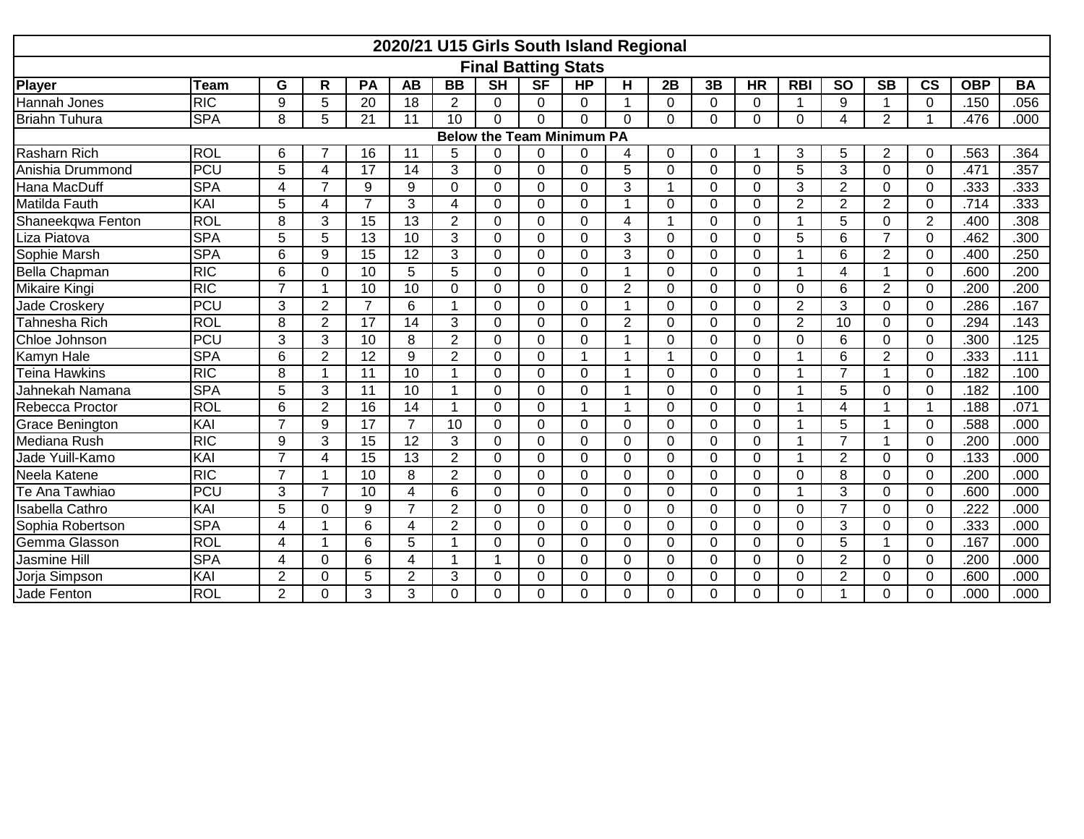| 2020/21 U15 Girls South Island Regional |                            |                |                |                |                 |                |                |           |                |                      |                |                |                |                |                |                |                          |            |                   |
|-----------------------------------------|----------------------------|----------------|----------------|----------------|-----------------|----------------|----------------|-----------|----------------|----------------------|----------------|----------------|----------------|----------------|----------------|----------------|--------------------------|------------|-------------------|
|                                         | <b>Final Batting Stats</b> |                |                |                |                 |                |                |           |                |                      |                |                |                |                |                |                |                          |            |                   |
| Player                                  | Team                       | G              | R              | PA             | <b>AB</b>       | <b>BB</b>      | <b>SH</b>      | <b>SF</b> | <b>HP</b>      | н                    | 2B             | 3B             | <b>HR</b>      | <b>RBI</b>     | <b>SO</b>      | <b>SB</b>      | $\mathsf{CS}\phantom{0}$ | <b>OBP</b> | <b>BA</b>         |
| Hannah Jones                            | RIC                        | 9              | 5              | 20             | 18              | 2              | 0              | $\Omega$  | $\Omega$       | $\mathbf 1$          | $\Omega$       | $\Omega$       | $\Omega$       | 1              | 9              |                | 0                        | .150       | .056              |
| <b>Briahn Tuhura</b>                    | <b>SPA</b>                 | 8              | 5              | 21             | 11              | 10             | $\Omega$       | $\Omega$  | $\Omega$       | $\Omega$             | $\Omega$       | $\Omega$       | $\Omega$       | $\Omega$       | 4              | $\overline{2}$ | $\blacktriangleleft$     | .476       | .000              |
| <b>Below the Team Minimum PA</b>        |                            |                |                |                |                 |                |                |           |                |                      |                |                |                |                |                |                |                          |            |                   |
| Rasharn Rich                            | <b>ROL</b>                 | 6              |                | 16             | 11              | 5              | 0              | 0         | 0              | 4                    | $\Omega$       | 0              |                | 3              | 5              | 2              | 0                        | .563       | .364              |
| Anishia Drummond                        | <b>PCU</b>                 | 5              | $\overline{4}$ | 17             | 14              | 3              | 0              | 0         | 0              | 5                    | $\Omega$       | $\mathbf 0$    | $\Omega$       | 5              | 3              | 0              | $\mathbf 0$              | .471       | .357              |
| Hana MacDuff                            | <b>SPA</b>                 | 4              | $\overline{7}$ | 9              | $\overline{9}$  | $\Omega$       | $\Omega$       | 0         | $\Omega$       | 3                    | -1             | $\mathbf 0$    | $\Omega$       | 3              | $\overline{2}$ | 0              | $\mathbf 0$              | .333       | .333              |
| <b>Matilda Fauth</b>                    | KAI                        | 5              | 4              | $\overline{7}$ | 3               | 4              | 0              | 0         | $\mathbf 0$    | $\mathbf{1}$         | $\Omega$       | 0              | $\Omega$       | $\overline{2}$ | $\overline{2}$ | $\overline{2}$ | $\mathbf 0$              | .714       | .333              |
| Shaneekqwa Fenton                       | <b>ROL</b>                 | 8              | 3              | 15             | $\overline{13}$ | 2              | $\Omega$       | $\Omega$  | $\Omega$       | 4                    | $\overline{1}$ | $\Omega$       | $\Omega$       | -1             | 5              | 0              | 2                        | .400       | .308              |
| Liza Piatova                            | <b>SPA</b>                 | 5              | 5              | 13             | 10              | 3              | 0              | $\Omega$  | $\Omega$       | 3                    | $\Omega$       | $\Omega$       | $\Omega$       | 5              | 6              | $\overline{7}$ | $\mathbf 0$              | .462       | .300              |
| Sophie Marsh                            | <b>SPA</b>                 | 6              | 9              | 15             | $\overline{12}$ | 3              | $\Omega$       | $\Omega$  | $\Omega$       | 3                    | $\Omega$       | $\Omega$       | $\Omega$       | 1              | 6              | $\overline{2}$ | 0                        | .400       | .250              |
| <b>Bella Chapman</b>                    | <b>RIC</b>                 | 6              | $\mathbf 0$    | 10             | $\overline{5}$  | 5              | $\overline{0}$ | 0         | $\Omega$       | $\mathbf{1}$         | $\Omega$       | 0              | $\Omega$       | 1              | 4              | -1             | $\mathbf 0$              | .600       | $\overline{.200}$ |
| Mikaire Kingi                           | $\overline{R}$             | $\overline{7}$ | 1              | 10             | 10              | $\Omega$       | $\Omega$       | 0         | $\Omega$       | $\overline{2}$       | $\Omega$       | 0              | $\Omega$       | $\Omega$       | 6              | $\overline{2}$ | $\mathbf 0$              | .200       | .200              |
| Jade Croskery                           | <b>PCU</b>                 | 3              | $\overline{2}$ | $\overline{7}$ | 6               | 1              | 0              | 0         | 0              | $\mathbf{1}$         | $\Omega$       | $\mathbf 0$    | $\mathbf 0$    | $\overline{2}$ | 3              | 0              | $\mathbf 0$              | .286       | .167              |
| Tahnesha Rich                           | <b>ROL</b>                 | 8              | $\overline{2}$ | 17             | 14              | 3              | 0              | 0         | 0              | $\overline{2}$       | $\Omega$       | 0              | $\Omega$       | $\overline{2}$ | 10             | 0              | $\mathbf 0$              | .294       | .143              |
| Chloe Johnson                           | <b>PCU</b>                 | 3              | 3              | 10             | 8               | $\overline{2}$ | 0              | 0         | $\Omega$       | 1                    | $\Omega$       | $\Omega$       | $\Omega$       | $\mathbf{0}$   | 6              | 0              | 0                        | .300       | .125              |
| Kamyn Hale                              | <b>SPA</b>                 | 6              | $\overline{2}$ | 12             | 9               | $\overline{2}$ | $\Omega$       | 0         | $\mathbf{1}$   | $\mathbf{1}$         | $\overline{1}$ | 0              | $\Omega$       | 1              | 6              | $\overline{2}$ | $\mathbf 0$              | .333       | .111              |
| <b>Teina Hawkins</b>                    | RIC                        | 8              |                | 11             | 10              |                | $\Omega$       | $\Omega$  | $\Omega$       | 1                    | $\Omega$       | $\Omega$       | $\Omega$       | 1              | $\overline{7}$ |                | $\mathbf 0$              | .182       | .100              |
| Jahnekah Namana                         | <b>SPA</b>                 | 5              | 3              | 11             | 10              | 1              | $\Omega$       | 0         | $\overline{0}$ | $\blacktriangleleft$ | $\Omega$       | $\mathbf 0$    | $\mathbf 0$    | -1             | 5              | $\Omega$       | $\mathbf 0$              | .182       | .100              |
| Rebecca Proctor                         | <b>ROL</b>                 | 6              | $\overline{2}$ | 16             | 14              |                | $\Omega$       | 0         | 1              | $\mathbf 1$          | $\Omega$       | $\Omega$       | $\Omega$       | 1              | 4              |                | 1                        | .188       | .071              |
| Grace Benington                         | KAI                        | $\overline{7}$ | 9              | 17             | $\overline{7}$  | 10             | $\Omega$       | 0         | $\Omega$       | $\mathbf 0$          | $\Omega$       | 0              | $\Omega$       | 4              | 5              |                | $\mathbf 0$              | .588       | .000              |
| Mediana Rush                            | $\overline{R}$             | 9              | 3              | 15             | 12              | 3              | $\Omega$       | $\Omega$  | $\Omega$       | $\mathbf{0}$         | $\Omega$       | 0              | $\Omega$       | 1              | $\overline{7}$ |                | $\mathbf 0$              | .200       | .000              |
| Jade Yuill-Kamo                         | KAI                        | 7              | $\overline{4}$ | 15             | $\overline{13}$ | $\overline{2}$ | 0              | 0         | $\overline{0}$ | $\mathbf 0$          | $\overline{0}$ | 0              | $\mathbf 0$    | 1              | $\overline{2}$ | 0              | $\mathbf 0$              | .133       | .000              |
| Neela Katene                            | <b>RIC</b>                 | $\overline{7}$ | 1              | 10             | 8               | $\overline{2}$ | 0              | 0         | 0              | 0                    | $\Omega$       | $\mathbf 0$    | $\Omega$       | $\mathbf{0}$   | 8              | 0              | $\mathbf 0$              | .200       | .000              |
| Te Ana Tawhiao                          | <b>PCU</b>                 | 3              | $\overline{7}$ | 10             | $\overline{4}$  | 6              | 0              | 0         | 0              | 0                    | $\Omega$       | 0              | $\Omega$       | 1              | 3              | 0              | 0                        | .600       | .000              |
| Isabella Cathro                         | KAI                        | 5              | $\Omega$       | 9              | $\overline{7}$  | 2              | $\Omega$       | 0         | $\Omega$       | $\mathbf{0}$         | $\Omega$       | $\Omega$       | $\Omega$       | $\Omega$       | $\overline{ }$ | 0              | 0                        | .222       | .000              |
| Sophia Robertson                        | <b>SPA</b>                 | 4              |                | 6              | $\overline{4}$  | $\overline{2}$ | 0              | 0         | $\overline{0}$ | $\mathbf{0}$         | $\Omega$       | 0              | $\Omega$       | $\Omega$       | 3              | 0              | $\mathbf 0$              | .333       | .000              |
| Gemma Glasson                           | ROL                        | 4              |                | 6              | 5               | 1              | $\Omega$       | 0         | $\overline{0}$ | $\mathbf{0}$         | $\Omega$       | 0              | $\overline{0}$ | $\Omega$       | 5              |                | $\mathbf 0$              | .167       | .000              |
| Jasmine Hill                            | <b>SPA</b>                 | 4              | $\Omega$       | 6              | $\overline{4}$  |                |                | 0         | $\Omega$       | $\mathbf{0}$         | $\Omega$       | $\Omega$       | $\Omega$       | $\Omega$       | $\overline{2}$ | 0              | 0                        | .200       | .000              |
| Jorja Simpson                           | KAI                        | $\overline{2}$ | $\mathbf 0$    | 5              | $\overline{2}$  | 3              | $\Omega$       | 0         | $\Omega$       | $\mathbf 0$          | $\Omega$       | $\overline{0}$ | $\Omega$       | $\Omega$       | $\overline{2}$ | $\Omega$       | $\mathbf 0$              | .600       | .000              |
| Jade Fenton                             | <b>ROL</b>                 | $\overline{2}$ | $\Omega$       | 3              | 3               | 0              | 0              | $\Omega$  | $\Omega$       | $\Omega$             | $\Omega$       | $\Omega$       | $\Omega$       | $\Omega$       |                | 0              | 0                        | .000       | .000              |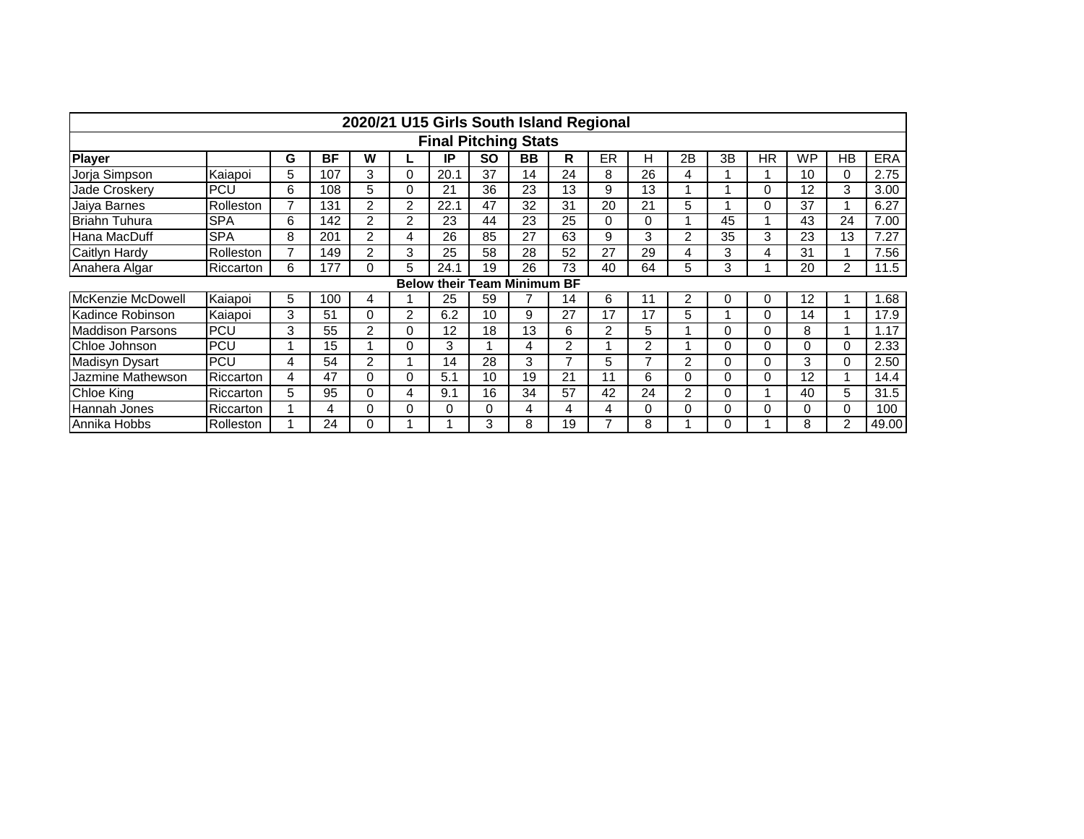|                                    | 2020/21 U15 Girls South Island Regional |   |     |                |          |      |    |           |    |    |    |                |    |           |           |                |            |
|------------------------------------|-----------------------------------------|---|-----|----------------|----------|------|----|-----------|----|----|----|----------------|----|-----------|-----------|----------------|------------|
| <b>Final Pitching Stats</b>        |                                         |   |     |                |          |      |    |           |    |    |    |                |    |           |           |                |            |
| <b>Player</b>                      |                                         | G | BF  | W              |          | IP   | SΟ | <b>BB</b> | R  | ER | н  | 2B             | 3B | <b>HR</b> | <b>WP</b> | НB             | <b>ERA</b> |
| Jorja Simpson                      | Kaiapoi                                 | 5 | 107 | 3              | $\Omega$ | 20.1 | 37 | 14        | 24 | 8  | 26 | 4              |    |           | 10        | 0              | 2.75       |
| Jade Croskery                      | <b>PCU</b>                              | 6 | 108 | 5.             | 0        | 21   | 36 | 23        | 13 | 9  | 13 |                |    | 0         | 12        | 3              | 3.00       |
| Jaiya Barnes                       | Rolleston                               | 7 | 131 | $\mathcal{P}$  | 2        | 22.1 | 47 | 32        | 31 | 20 | 21 | 5              |    | 0         | 37        |                | 6.27       |
| Briahn Tuhura                      | SPA                                     | 6 | 142 | 2              | 2        | 23   | 44 | 23        | 25 | 0  | 0  |                | 45 |           | 43        | 24             | 7.00       |
| Hana MacDuff                       | <b>SPA</b>                              | 8 | 201 | $\overline{2}$ | 4        | 26   | 85 | 27        | 63 | 9  | 3  | $\overline{2}$ | 35 | 3         | 23        | 13             | 7.27       |
| Caitlyn Hardy                      | Rolleston                               | 7 | 149 | 2              | 3        | 25   | 58 | 28        | 52 | 27 | 29 | 4              | 3  | 4         | 31        |                | 7.56       |
| Anahera Algar                      | Riccarton                               | 6 | 177 | 0              | 5        | 24.1 | 19 | 26        | 73 | 40 | 64 | 5              | 3  |           | 20        | 2              | 11.5       |
| <b>Below their Team Minimum BF</b> |                                         |   |     |                |          |      |    |           |    |    |    |                |    |           |           |                |            |
| McKenzie McDowell                  | Kaiapoi                                 | 5 | 100 | 4              |          | 25   | 59 | 7         | 14 | 6  | 11 | 2              |    | 0         | 12        |                | 1.68       |
| Kadince Robinson                   | Kaiapoi                                 | 3 | 51  |                | 2        | 6.2  | 10 | 9         | 27 | 17 | 17 | 5              |    | 0         | 14        |                | 17.9       |
| <b>Maddison Parsons</b>            | <b>PCU</b>                              | 3 | 55  | $\overline{2}$ | $\Omega$ | 12   | 18 | 13        | 6  | 2  | 5  |                |    | 0         | 8         |                | 1.17       |
| Chloe Johnson                      | <b>PCU</b>                              |   | 15  |                | 0        | 3    |    | 4         | 2  |    | 2  |                |    | 0         | 0         | $\Omega$       | 2.33       |
| Madisyn Dysart                     | <b>PCU</b>                              | 4 | 54  | $\overline{2}$ |          | 14   | 28 | 3         | ⇁  | 5  |    | $\overline{2}$ |    | 0         | 3         | $\Omega$       | 2.50       |
| Jazmine Mathewson                  | Riccarton                               | 4 | 47  | 0              | 0        | 5.1  | 10 | 19        | 21 | 11 | 6  | 0              |    | 0         | 12        |                | 14.4       |
| Chloe King                         | Riccarton                               | 5 | 95  | 0              | 4        | 9.1  | 16 | 34        | 57 | 42 | 24 | 2              |    |           | 40        | 5              | 31.5       |
| <b>Hannah Jones</b>                | Riccarton                               |   | 4   | 0              | 0        | 0    | 0  | 4         | 4  | 4  | 0  | 0              |    | 0         | 0         | 0              | 100        |
| Annika Hobbs                       | Rolleston                               |   | 24  |                |          |      | 3  | 8         | 19 |    | 8  |                |    |           | 8         | $\overline{2}$ | 49.00      |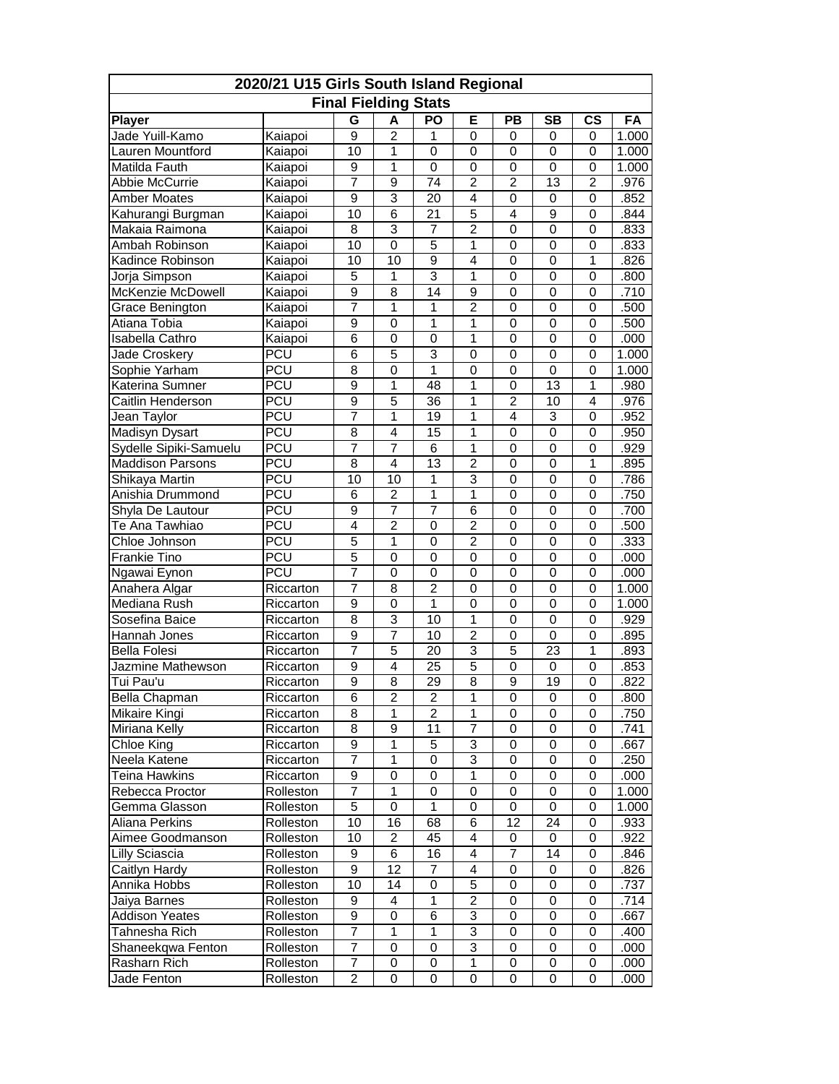| 2020/21 U15 Girls South Island Regional |                        |                             |                         |                         |                |                     |                     |                  |              |  |  |
|-----------------------------------------|------------------------|-----------------------------|-------------------------|-------------------------|----------------|---------------------|---------------------|------------------|--------------|--|--|
|                                         |                        | <b>Final Fielding Stats</b> |                         |                         |                |                     |                     |                  |              |  |  |
| <b>Player</b>                           |                        | G                           | A                       | <b>PO</b>               | Е              | PB                  | <b>SB</b>           | $\mathsf{cs}$    | FA           |  |  |
| Jade Yuill-Kamo                         | Kaiapoi                | 9                           | $\overline{2}$          | 1                       | 0              | $\mathbf 0$         | $\mathbf 0$         | 0                | 1.000        |  |  |
| Lauren Mountford                        | Kaiapoi                | 10                          | 1                       | $\mathbf 0$             | $\mathbf 0$    | $\mathbf 0$         | $\mathbf 0$         | $\mathbf 0$      | 1.000        |  |  |
| Matilda Fauth                           | Kaiapoi                | 9                           | 1                       | 0                       | 0              | $\mathbf 0$         | $\mathbf 0$         | $\mathbf 0$      | 1.000        |  |  |
| Abbie McCurrie                          | Kaiapoi                | 7                           | $\overline{9}$          | 74                      | $\overline{2}$ | $\overline{2}$      | 13                  | $\overline{2}$   | .976         |  |  |
| <b>Amber Moates</b>                     | Kaiapoi                | 9                           | 3                       | 20                      | 4              | 0                   | 0                   | 0                | .852         |  |  |
| Kahurangi Burgman                       | Kaiapoi                | 10                          | $\overline{6}$          | 21                      | 5              | 4                   | 9                   | 0                | .844         |  |  |
| Makaia Raimona                          | Kaiapoi                | 8                           | 3                       | 7                       | $\overline{c}$ | 0                   | 0                   | 0                | .833         |  |  |
| Ambah Robinson                          | Kaiapoi                | 10                          | $\mathbf 0$             | 5                       | 1              | $\mathbf 0$         | 0                   | 0                | .833         |  |  |
| Kadince Robinson                        | Kaiapoi                | 10                          | $\overline{10}$         | $\overline{9}$          | $\overline{4}$ | $\mathbf 0$         | 0                   | 1                | .826         |  |  |
| Jorja Simpson                           | Kaiapoi                | 5                           | 1                       | 3                       | 1              | $\mathbf 0$         | 0                   | $\mathbf 0$      | .800         |  |  |
| <b>McKenzie McDowell</b>                | Kaiapoi                | $\overline{9}$              | $\overline{8}$          | 14                      | $\overline{9}$ | $\mathbf 0$         | $\mathbf 0$         | $\mathbf 0$      | .710         |  |  |
| Grace Benington                         | Kaiapoi                | 7                           | 1                       | $\mathbf 1$             | $\overline{2}$ | $\mathbf 0$         | $\mathbf 0$         | $\mathbf 0$      | .500         |  |  |
| Atiana Tobia                            | Kaiapoi                | 9                           | 0                       | 1                       | 1              | 0                   | 0                   | 0                | .500         |  |  |
| Isabella Cathro                         | Kaiapoi                | 6                           | 0                       | 0                       | 1              | 0                   | $\mathbf 0$         | 0                | .000         |  |  |
| Jade Croskery                           | <b>PCU</b>             | 6                           | 5                       | 3                       | 0              | 0                   | 0                   | 0                | 1.000        |  |  |
| Sophie Yarham                           | <b>PCU</b>             | 8                           | 0                       | 1                       | 0              | $\mathbf 0$         | $\mathbf 0$         | $\mathbf 0$      | 1.000        |  |  |
| Katerina Sumner                         | PCU                    | 9                           | 1                       | 48                      | 1              | $\mathbf 0$         | 13                  | 1                | .980         |  |  |
| <b>Caitlin Henderson</b>                | PCU                    | $\overline{9}$              | $\overline{5}$          | 36                      | 1              | $\overline{2}$      | 10                  | $\overline{4}$   | .976         |  |  |
| Jean Taylor                             | <b>PCU</b>             | 7                           | 1                       | 19                      | 1              | 4                   | 3                   | 0                | .952         |  |  |
| Madisyn Dysart                          | <b>PCU</b>             | 8                           | 4                       | 15                      | 1              | $\mathbf 0$         | 0                   | 0                | .950         |  |  |
| Sydelle Sipiki-Samuelu                  | <b>PCU</b>             | $\overline{7}$              | 7                       | $\overline{6}$          | $\mathbf{1}$   | $\mathbf 0$         | $\mathbf 0$         | $\mathbf 0$      | .929         |  |  |
| <b>Maddison Parsons</b>                 | PCU                    | 8                           | $\overline{4}$          | 13                      | $\overline{2}$ | $\mathbf 0$         | $\mathbf 0$         | 1                | .895         |  |  |
| Shikaya Martin                          | PCU                    | 10                          | $\overline{10}$         | $\mathbf 1$             | $\overline{3}$ | $\mathbf 0$         | $\mathbf 0$         | $\mathbf 0$      | .786         |  |  |
| Anishia Drummond                        | PCU                    | 6                           | $\overline{2}$          | 1                       | $\mathbf{1}$   | 0                   | $\mathbf 0$         | 0                | .750         |  |  |
| Shyla De Lautour                        | <b>PCU</b>             | 9                           | 7                       | 7                       | 6              | 0                   | 0                   | 0                | .700         |  |  |
| Te Ana Tawhiao                          | <b>PCU</b>             | 4                           | $\overline{2}$          | 0                       | $\overline{2}$ | $\mathbf 0$         | 0                   | 0                | .500         |  |  |
| Chloe Johnson                           | PCU                    | 5                           | 1                       | 0                       | $\overline{c}$ | $\mathbf 0$         | $\mathbf 0$         | $\mathbf 0$      | .333         |  |  |
| <b>Frankie Tino</b>                     | PCU                    | 5                           | $\overline{0}$          | $\mathbf 0$             | 0              | $\mathbf{0}$        | $\overline{0}$      | $\mathbf 0$      | .000         |  |  |
| Ngawai Eynon                            | <b>PCU</b>             | 7                           | 0                       | $\mathbf 0$             | 0              | $\mathbf 0$         | 0                   | 0                | .000         |  |  |
| Anahera Algar                           | Riccarton              | 7                           | 8                       | $\overline{c}$          | 0              | $\mathbf 0$         | 0                   | 0                | 1.000        |  |  |
| Mediana Rush                            | Riccarton              | $\overline{9}$              | 0                       | 1                       | $\overline{0}$ | $\mathbf 0$         | $\mathbf 0$         | $\mathbf 0$      | 1.000        |  |  |
| Sosefina Baice                          | Riccarton              | 8                           | $\overline{3}$          | 10                      | $\mathbf{1}$   | $\mathbf 0$         | $\mathbf 0$         | $\mathbf 0$      | .929         |  |  |
| Hannah Jones                            | Riccarton              | 9                           | 7                       | $\overline{10}$         | $\overline{2}$ | $\mathbf 0$         | $\mathbf 0$         | $\overline{0}$   | .895         |  |  |
| <b>Bella Folesi</b>                     | Riccarton              | 7                           | $\overline{5}$          | 20                      | 3              | 5                   | 23                  | 1                | .893         |  |  |
| Jazmine Mathewson                       |                        | 9                           | 4                       | 25                      | 5              | 0                   | 0                   | 0                | .853         |  |  |
| Tui Pau'u                               | Riccarton<br>Riccarton | 9                           | $\overline{8}$          | $\overline{29}$         | $\overline{8}$ | $\overline{9}$      | 19                  | $\overline{0}$   | .822         |  |  |
| Bella Chapman                           |                        | 6                           | $\boldsymbol{2}$        | $\overline{\mathbf{c}}$ | $\mathbf 1$    | 0                   | 0                   | 0                |              |  |  |
| Mikaire Kingi                           | Riccarton              | 8                           | 1                       | $\overline{2}$          | 1              | $\mathbf 0$         | $\mathbf 0$         | 0                | .800<br>.750 |  |  |
|                                         | Riccarton              | 8                           | $\overline{9}$          | 11                      |                | 0                   |                     |                  |              |  |  |
| Miriana Kelly<br>Chloe King             | Riccarton              | 9                           | 1                       |                         | 7<br>3         |                     | 0<br>0              | 0                | .741         |  |  |
| Neela Katene                            | Riccarton              | 7                           | $\overline{1}$          | 5<br>0                  | $\overline{3}$ | 0<br>$\overline{0}$ | $\mathbf 0$         | 0                | .667         |  |  |
| Teina Hawkins                           | Riccarton              | 9                           | $\pmb{0}$               | 0                       | 1              |                     |                     | 0<br>$\mathsf 0$ | .250         |  |  |
| Rebecca Proctor                         | Riccarton              | 7                           | 1                       | $\overline{0}$          | $\overline{0}$ | 0<br>$\overline{0}$ | 0<br>$\overline{0}$ | $\overline{0}$   | .000         |  |  |
|                                         | Rolleston              |                             |                         |                         |                |                     |                     |                  | 1.000        |  |  |
| Gemma Glasson                           | Rolleston              | 5                           | 0                       | 1                       | 0              | 0                   | 0                   | 0                | 1.000        |  |  |
| Aliana Perkins                          | Rolleston              | 10                          | 16                      | 68                      | 6              | 12                  | 24                  | 0                | .933         |  |  |
| Aimee Goodmanson                        | Rolleston              | 10                          | $\overline{\mathbf{c}}$ | 45                      | 4              | 0                   | 0                   | 0                | .922         |  |  |
| Lilly Sciascia                          | Rolleston              | 9                           | 6                       | 16                      | 4              | 7                   | 14                  | 0                | .846         |  |  |
| Caitlyn Hardy                           | Rolleston              | $\overline{9}$              | $\overline{12}$         | 7                       | 4              | 0                   | 0                   | 0                | .826         |  |  |
| Annika Hobbs                            | Rolleston              | 10                          | 14                      | 0                       | 5              | 0                   | 0                   | 0                | .737         |  |  |
| Jaiya Barnes                            | Rolleston              | 9                           | 4                       | 1                       | $\overline{c}$ | 0                   | 0                   | 0                | .714         |  |  |
| <b>Addison Yeates</b>                   | Rolleston              | 9                           | 0                       | 6                       | 3              | 0                   | 0                   | 0                | .667         |  |  |
| Tahnesha Rich                           | Rolleston              | 7                           | $\mathbf{1}$            | 1                       | 3              | 0                   | $\mathbf 0$         | 0                | .400         |  |  |
| Shaneekqwa Fenton                       | Rolleston              | 7                           | $\overline{0}$          | 0                       | $\overline{3}$ | $\overline{0}$      | 0                   | 0                | .000         |  |  |
| Rasharn Rich                            | Rolleston              | 7                           | 0                       | 0                       | 1              | 0                   | 0                   | 0                | .000         |  |  |
| Jade Fenton                             | Rolleston              | 2                           | 0                       | 0                       | 0              | 0                   | 0                   | 0                | .000         |  |  |